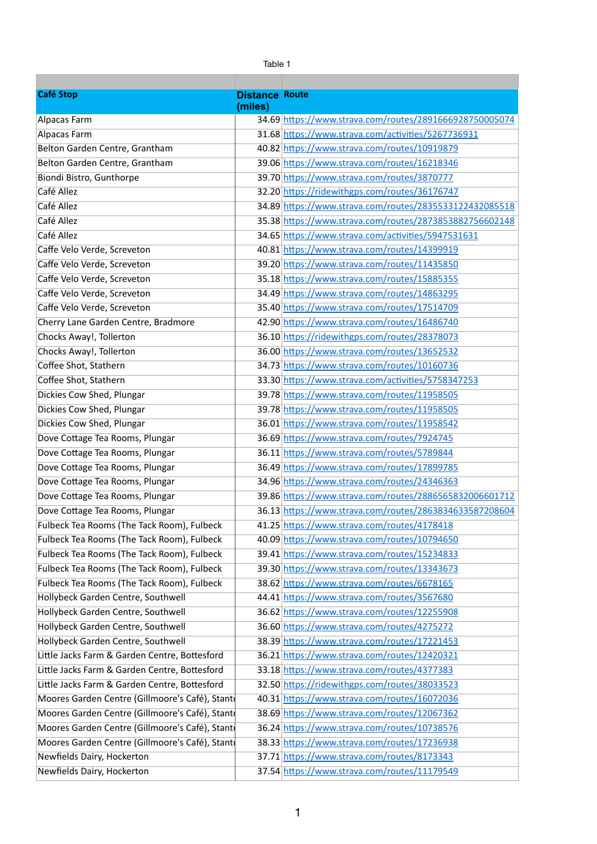|                                                | Table 1               |                                                                                                               |  |  |
|------------------------------------------------|-----------------------|---------------------------------------------------------------------------------------------------------------|--|--|
|                                                |                       |                                                                                                               |  |  |
| <b>Café Stop</b>                               | <b>Distance Route</b> |                                                                                                               |  |  |
|                                                | (miles)               |                                                                                                               |  |  |
| Alpacas Farm                                   |                       | 34.69 https://www.strava.com/routes/2891666928750005074<br>31.68 https://www.strava.com/activities/5267736931 |  |  |
| Alpacas Farm                                   |                       | 40.82 https://www.strava.com/routes/10919879                                                                  |  |  |
| Belton Garden Centre, Grantham                 |                       |                                                                                                               |  |  |
| Belton Garden Centre, Grantham                 |                       | 39.06 https://www.strava.com/routes/16218346                                                                  |  |  |
| Biondi Bistro, Gunthorpe<br>Café Allez         |                       | 39.70 https://www.strava.com/routes/3870777                                                                   |  |  |
| Café Allez                                     |                       | 32.20 https://ridewithgps.com/routes/36176747                                                                 |  |  |
| Café Allez                                     |                       | 34.89 https://www.strava.com/routes/2835533122432085518                                                       |  |  |
| Café Allez                                     |                       | 35.38 https://www.strava.com/routes/2873853882756602148                                                       |  |  |
|                                                |                       | 34.65 https://www.strava.com/activities/5947531631                                                            |  |  |
| Caffe Velo Verde, Screveton                    |                       | 40.81 https://www.strava.com/routes/14399919                                                                  |  |  |
| Caffe Velo Verde, Screveton                    |                       | 39.20 https://www.strava.com/routes/11435850                                                                  |  |  |
| Caffe Velo Verde, Screveton                    |                       | 35.18 https://www.strava.com/routes/15885355                                                                  |  |  |
| Caffe Velo Verde, Screveton                    |                       | 34.49 https://www.strava.com/routes/14863295                                                                  |  |  |
| Caffe Velo Verde, Screveton                    |                       | 35.40 https://www.strava.com/routes/17514709                                                                  |  |  |
| Cherry Lane Garden Centre, Bradmore            |                       | 42.90 https://www.strava.com/routes/16486740                                                                  |  |  |
| Chocks Away!, Tollerton                        |                       | 36.10 https://ridewithgps.com/routes/28378073                                                                 |  |  |
| Chocks Away!, Tollerton                        |                       | 36.00 https://www.strava.com/routes/13652532                                                                  |  |  |
| Coffee Shot, Stathern                          |                       | 34.73 https://www.strava.com/routes/10160736                                                                  |  |  |
| Coffee Shot, Stathern                          |                       | 33.30 https://www.strava.com/activities/5758347253                                                            |  |  |
| Dickies Cow Shed, Plungar                      |                       | 39.78 https://www.strava.com/routes/11958505                                                                  |  |  |
| Dickies Cow Shed, Plungar                      |                       | 39.78 https://www.strava.com/routes/11958505                                                                  |  |  |
| Dickies Cow Shed, Plungar                      |                       | 36.01 https://www.strava.com/routes/11958542                                                                  |  |  |
| Dove Cottage Tea Rooms, Plungar                |                       | 36.69 https://www.strava.com/routes/7924745                                                                   |  |  |
| Dove Cottage Tea Rooms, Plungar                |                       | 36.11 https://www.strava.com/routes/5789844                                                                   |  |  |
| Dove Cottage Tea Rooms, Plungar                |                       | 36.49 https://www.strava.com/routes/17899785                                                                  |  |  |
| Dove Cottage Tea Rooms, Plungar                |                       | 34.96 https://www.strava.com/routes/24346363                                                                  |  |  |
| Dove Cottage Tea Rooms, Plungar                |                       | 39.86 https://www.strava.com/routes/2886565832006601712                                                       |  |  |
| Dove Cottage Tea Rooms, Plungar                |                       | 36.13 https://www.strava.com/routes/2863834633587208604                                                       |  |  |
| Fulbeck Tea Rooms (The Tack Room), Fulbeck     |                       | 41.25 https://www.strava.com/routes/4178418                                                                   |  |  |
| Fulbeck Tea Rooms (The Tack Room), Fulbeck     |                       | 40.09 https://www.strava.com/routes/10794650                                                                  |  |  |
| Fulbeck Tea Rooms (The Tack Room), Fulbeck     |                       | 39.41 https://www.strava.com/routes/15234833                                                                  |  |  |
| Fulbeck Tea Rooms (The Tack Room), Fulbeck     |                       | 39.30 https://www.strava.com/routes/13343673                                                                  |  |  |
| Fulbeck Tea Rooms (The Tack Room), Fulbeck     |                       | 38.62 https://www.strava.com/routes/6678165                                                                   |  |  |
| Hollybeck Garden Centre, Southwell             |                       | 44.41 https://www.strava.com/routes/3567680                                                                   |  |  |
| Hollybeck Garden Centre, Southwell             |                       | 36.62 https://www.strava.com/routes/12255908                                                                  |  |  |
| Hollybeck Garden Centre, Southwell             |                       | 36.60 https://www.strava.com/routes/4275272                                                                   |  |  |
| Hollybeck Garden Centre, Southwell             |                       | 38.39 https://www.strava.com/routes/17221453                                                                  |  |  |
| Little Jacks Farm & Garden Centre, Bottesford  |                       | 36.21 https://www.strava.com/routes/12420321                                                                  |  |  |
| Little Jacks Farm & Garden Centre, Bottesford  |                       | 33.18 https://www.strava.com/routes/4377383                                                                   |  |  |
| Little Jacks Farm & Garden Centre, Bottesford  |                       | 32.50 https://ridewithgps.com/routes/38033523                                                                 |  |  |
| Moores Garden Centre (Gillmoore's Café), Stant |                       | 40.31 https://www.strava.com/routes/16072036                                                                  |  |  |
| Moores Garden Centre (Gillmoore's Café), Stant |                       | 38.69 https://www.strava.com/routes/12067362                                                                  |  |  |
| Moores Garden Centre (Gillmoore's Café), Stant |                       | 36.24 https://www.strava.com/routes/10738576                                                                  |  |  |
| Moores Garden Centre (Gillmoore's Café), Stant |                       | 38.33 https://www.strava.com/routes/17236938                                                                  |  |  |
| Newfields Dairy, Hockerton                     |                       | 37.71 https://www.strava.com/routes/8173343                                                                   |  |  |
| Newfields Dairy, Hockerton                     |                       | 37.54 https://www.strava.com/routes/11179549                                                                  |  |  |

1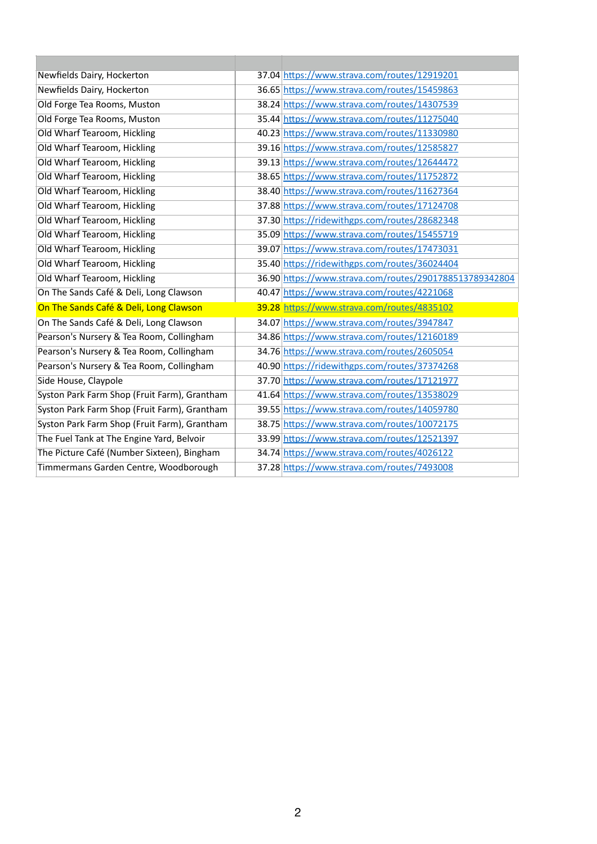| Newfields Dairy, Hockerton                   | 37.04 https://www.strava.com/routes/12919201            |
|----------------------------------------------|---------------------------------------------------------|
| Newfields Dairy, Hockerton                   | 36.65 https://www.strava.com/routes/15459863            |
| Old Forge Tea Rooms, Muston                  | 38.24 https://www.strava.com/routes/14307539            |
| Old Forge Tea Rooms, Muston                  | 35.44 https://www.strava.com/routes/11275040            |
| Old Wharf Tearoom, Hickling                  | 40.23 https://www.strava.com/routes/11330980            |
| Old Wharf Tearoom, Hickling                  | 39.16 https://www.strava.com/routes/12585827            |
| Old Wharf Tearoom, Hickling                  | 39.13 https://www.strava.com/routes/12644472            |
| Old Wharf Tearoom, Hickling                  | 38.65 https://www.strava.com/routes/11752872            |
| Old Wharf Tearoom, Hickling                  | 38.40 https://www.strava.com/routes/11627364            |
| Old Wharf Tearoom, Hickling                  | 37.88 https://www.strava.com/routes/17124708            |
| Old Wharf Tearoom, Hickling                  | 37.30 https://ridewithgps.com/routes/28682348           |
| Old Wharf Tearoom, Hickling                  | 35.09 https://www.strava.com/routes/15455719            |
| Old Wharf Tearoom, Hickling                  | 39.07 https://www.strava.com/routes/17473031            |
| Old Wharf Tearoom, Hickling                  | 35.40 https://ridewithgps.com/routes/36024404           |
| Old Wharf Tearoom, Hickling                  | 36.90 https://www.strava.com/routes/2901788513789342804 |
| On The Sands Café & Deli, Long Clawson       | 40.47 https://www.strava.com/routes/4221068             |
| On The Sands Café & Deli, Long Clawson       | 39.28 https://www.strava.com/routes/4835102             |
| On The Sands Café & Deli, Long Clawson       | 34.07 https://www.strava.com/routes/3947847             |
| Pearson's Nursery & Tea Room, Collingham     | 34.86 https://www.strava.com/routes/12160189            |
| Pearson's Nursery & Tea Room, Collingham     | 34.76 https://www.strava.com/routes/2605054             |
| Pearson's Nursery & Tea Room, Collingham     | 40.90 https://ridewithgps.com/routes/37374268           |
| Side House, Claypole                         | 37.70 https://www.strava.com/routes/17121977            |
| Syston Park Farm Shop (Fruit Farm), Grantham | 41.64 https://www.strava.com/routes/13538029            |
| Syston Park Farm Shop (Fruit Farm), Grantham | 39.55 https://www.strava.com/routes/14059780            |
| Syston Park Farm Shop (Fruit Farm), Grantham | 38.75 https://www.strava.com/routes/10072175            |
| The Fuel Tank at The Engine Yard, Belvoir    | 33.99 https://www.strava.com/routes/12521397            |
| The Picture Café (Number Sixteen), Bingham   | 34.74 https://www.strava.com/routes/4026122             |
|                                              |                                                         |

## 2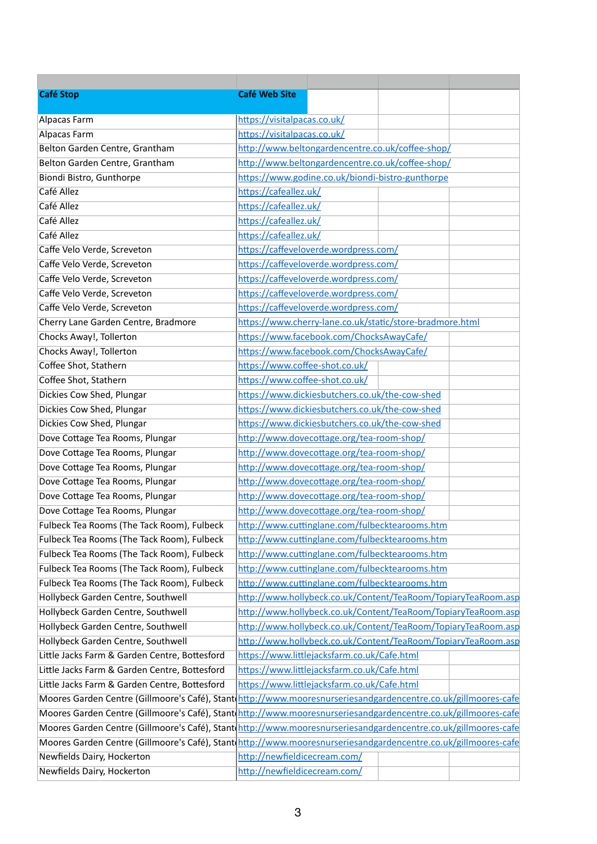| <b>Café Stop</b>                                                                                               | <b>Café Web Site</b>           |                                                               |  |
|----------------------------------------------------------------------------------------------------------------|--------------------------------|---------------------------------------------------------------|--|
| Alpacas Farm                                                                                                   | https://visitalpacas.co.uk/    |                                                               |  |
| Alpacas Farm                                                                                                   | https://visitalpacas.co.uk/    |                                                               |  |
| Belton Garden Centre, Grantham                                                                                 |                                | http://www.beltongardencentre.co.uk/coffee-shop/              |  |
| Belton Garden Centre, Grantham                                                                                 |                                | http://www.beltongardencentre.co.uk/coffee-shop/              |  |
| Biondi Bistro, Gunthorpe                                                                                       |                                | https://www.godine.co.uk/biondi-bistro-gunthorpe              |  |
| Café Allez                                                                                                     | https://cafeallez.uk/          |                                                               |  |
| Café Allez                                                                                                     | https://cafeallez.uk/          |                                                               |  |
| Café Allez                                                                                                     | https://cafeallez.uk/          |                                                               |  |
| Café Allez                                                                                                     | https://cafeallez.uk/          |                                                               |  |
| Caffe Velo Verde, Screveton                                                                                    |                                | https://caffeveloverde.wordpress.com/                         |  |
| Caffe Velo Verde, Screveton                                                                                    |                                | https://caffeveloverde.wordpress.com/                         |  |
| Caffe Velo Verde, Screveton                                                                                    |                                | https://caffeveloverde.wordpress.com/                         |  |
| Caffe Velo Verde, Screveton                                                                                    |                                | https://caffeveloverde.wordpress.com/                         |  |
| Caffe Velo Verde, Screveton                                                                                    |                                | https://caffeveloverde.wordpress.com/                         |  |
| Cherry Lane Garden Centre, Bradmore                                                                            |                                | https://www.cherry-lane.co.uk/static/store-bradmore.html      |  |
| Chocks Away!, Tollerton                                                                                        |                                | https://www.facebook.com/ChocksAwayCafe/                      |  |
| Chocks Away!, Tollerton                                                                                        |                                | https://www.facebook.com/ChocksAwayCafe/                      |  |
| Coffee Shot, Stathern                                                                                          | https://www.coffee-shot.co.uk/ |                                                               |  |
| Coffee Shot, Stathern                                                                                          | https://www.coffee-shot.co.uk/ |                                                               |  |
| Dickies Cow Shed, Plungar                                                                                      |                                | https://www.dickiesbutchers.co.uk/the-cow-shed                |  |
| Dickies Cow Shed, Plungar                                                                                      |                                | https://www.dickiesbutchers.co.uk/the-cow-shed                |  |
| Dickies Cow Shed, Plungar                                                                                      |                                | https://www.dickiesbutchers.co.uk/the-cow-shed                |  |
| Dove Cottage Tea Rooms, Plungar                                                                                |                                | http://www.dovecottage.org/tea-room-shop/                     |  |
| Dove Cottage Tea Rooms, Plungar                                                                                |                                | http://www.dovecottage.org/tea-room-shop/                     |  |
| Dove Cottage Tea Rooms, Plungar                                                                                |                                | http://www.dovecottage.org/tea-room-shop/                     |  |
| Dove Cottage Tea Rooms, Plungar                                                                                |                                | http://www.dovecottage.org/tea-room-shop/                     |  |
| Dove Cottage Tea Rooms, Plungar                                                                                |                                | http://www.dovecottage.org/tea-room-shop/                     |  |
| Dove Cottage Tea Rooms, Plungar                                                                                |                                | http://www.dovecottage.org/tea-room-shop/                     |  |
| Fulbeck Tea Rooms (The Tack Room), Fulbeck                                                                     |                                | http://www.cuttinglane.com/fulbecktearooms.htm                |  |
| Fulbeck Tea Rooms (The Tack Room), Fulbeck                                                                     |                                | http://www.cuttinglane.com/fulbecktearooms.htm                |  |
| Fulbeck Tea Rooms (The Tack Room), Fulbeck                                                                     |                                | http://www.cuttinglane.com/fulbecktearooms.htm                |  |
| Fulbeck Tea Rooms (The Tack Room), Fulbeck                                                                     |                                | http://www.cuttinglane.com/fulbecktearooms.htm                |  |
| Fulbeck Tea Rooms (The Tack Room), Fulbeck                                                                     |                                | http://www.cuttinglane.com/fulbecktearooms.htm                |  |
| Hollybeck Garden Centre, Southwell                                                                             |                                | http://www.hollybeck.co.uk/Content/TeaRoom/TopiaryTeaRoom.asp |  |
| Hollybeck Garden Centre, Southwell                                                                             |                                | http://www.hollybeck.co.uk/Content/TeaRoom/TopiaryTeaRoom.asp |  |
| Hollybeck Garden Centre, Southwell                                                                             |                                | http://www.hollybeck.co.uk/Content/TeaRoom/TopiaryTeaRoom.asp |  |
| Hollybeck Garden Centre, Southwell                                                                             |                                | http://www.hollybeck.co.uk/Content/TeaRoom/TopiaryTeaRoom.asp |  |
| Little Jacks Farm & Garden Centre, Bottesford                                                                  |                                | https://www.littlejacksfarm.co.uk/Cafe.html                   |  |
| Little Jacks Farm & Garden Centre, Bottesford                                                                  |                                | https://www.littlejacksfarm.co.uk/Cafe.html                   |  |
| Little Jacks Farm & Garden Centre, Bottesford                                                                  |                                | https://www.littlejacksfarm.co.uk/Cafe.html                   |  |
|                                                                                                                |                                |                                                               |  |
| Moores Garden Centre (Gillmoore's Café), Stant(http://www.mooresnurseriesandgardencentre.co.uk/gillmoores-cafe |                                |                                                               |  |
| Moores Garden Centre (Gillmoore's Café), Stant http://www.mooresnurseriesandgardencentre.co.uk/gillmoores-cafe |                                |                                                               |  |
| Moores Garden Centre (Gillmoore's Café), Stant(http://www.mooresnurseriesandgardencentre.co.uk/gillmoores-cafe |                                |                                                               |  |
| Moores Garden Centre (Gillmoore's Café), Stant(http://www.mooresnurseriesandgardencentre.co.uk/gillmoores-cafe |                                |                                                               |  |
| Newfields Dairy, Hockerton                                                                                     | http://newfieldicecream.com/   |                                                               |  |
| Newfields Dairy, Hockerton                                                                                     | http://newfieldicecream.com/   |                                                               |  |